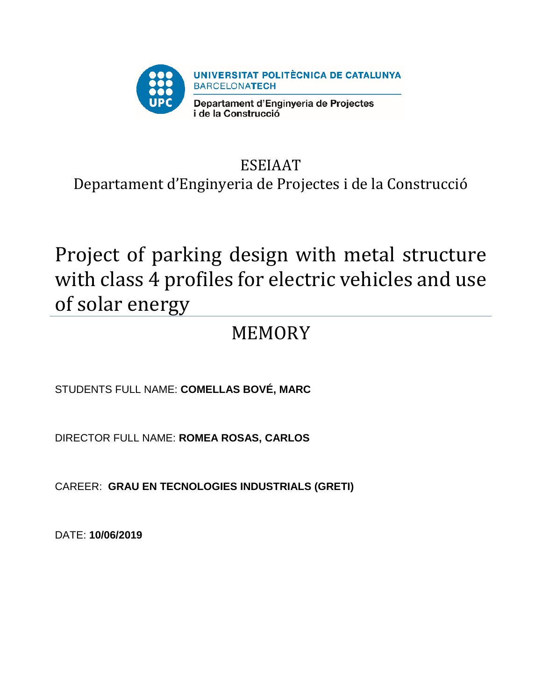

# ESEIAAT Departament d'Enginyeria de Projectes i de la Construcció

# Project of parking design with metal structure with class 4 profiles for electric vehicles and use of solar energy

# MEMORY

STUDENTS FULL NAME: **COMELLAS BOVÉ, MARC**

DIRECTOR FULL NAME: **ROMEA ROSAS, CARLOS**

CAREER: **GRAU EN TECNOLOGIES INDUSTRIALS (GRETI)**

DATE: **10/06/2019**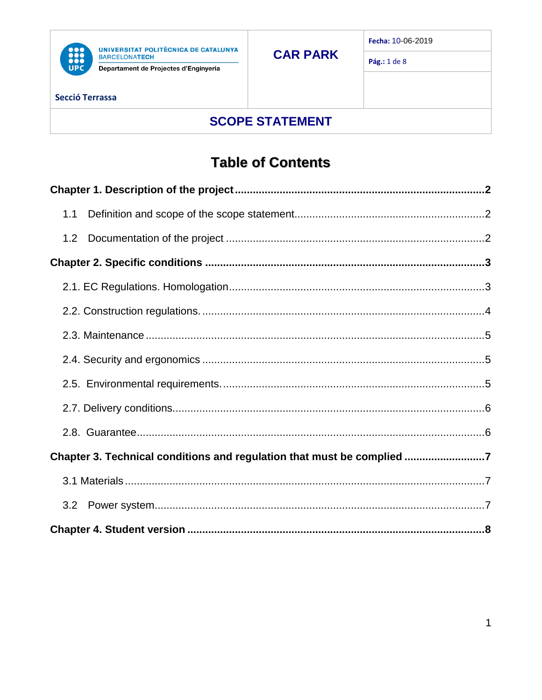

UNIVERSITAT POLITÈCNICA DE CATALUNYA<br>BARCELONATECH Departament de Projectes d'Enginyeria

Pág.: 1 de 8

## **SCOPE STATEMENT**

## **Table of Contents**

| 1.1                                                                    |
|------------------------------------------------------------------------|
| 1.2                                                                    |
|                                                                        |
|                                                                        |
|                                                                        |
|                                                                        |
|                                                                        |
|                                                                        |
|                                                                        |
|                                                                        |
| Chapter 3. Technical conditions and regulation that must be complied 7 |
|                                                                        |
| 3.2                                                                    |
|                                                                        |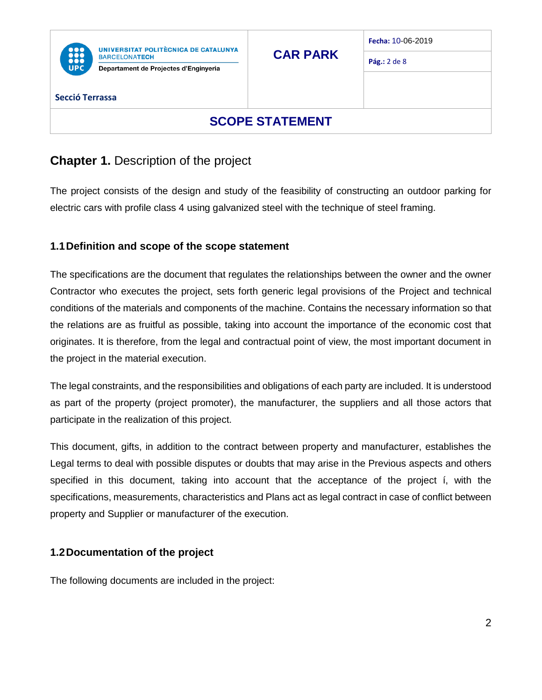

Departament de Projectes d'Enginyeria

**CAR PARK**

**Fecha:** 10-06-2019

**Pág.:** 2 de 8

#### **Secció Terrassa**

### **SCOPE STATEMENT**

### <span id="page-2-0"></span>**Chapter 1.** Description of the project

The project consists of the design and study of the feasibility of constructing an outdoor parking for electric cars with profile class 4 using galvanized steel with the technique of steel framing.

### <span id="page-2-1"></span>**1.1Definition and scope of the scope statement**

The specifications are the document that regulates the relationships between the owner and the owner Contractor who executes the project, sets forth generic legal provisions of the Project and technical conditions of the materials and components of the machine. Contains the necessary information so that the relations are as fruitful as possible, taking into account the importance of the economic cost that originates. It is therefore, from the legal and contractual point of view, the most important document in the project in the material execution.

The legal constraints, and the responsibilities and obligations of each party are included. It is understood as part of the property (project promoter), the manufacturer, the suppliers and all those actors that participate in the realization of this project.

This document, gifts, in addition to the contract between property and manufacturer, establishes the Legal terms to deal with possible disputes or doubts that may arise in the Previous aspects and others specified in this document, taking into account that the acceptance of the project í, with the specifications, measurements, characteristics and Plans act as legal contract in case of conflict between property and Supplier or manufacturer of the execution.

### <span id="page-2-2"></span>**1.2Documentation of the project**

The following documents are included in the project: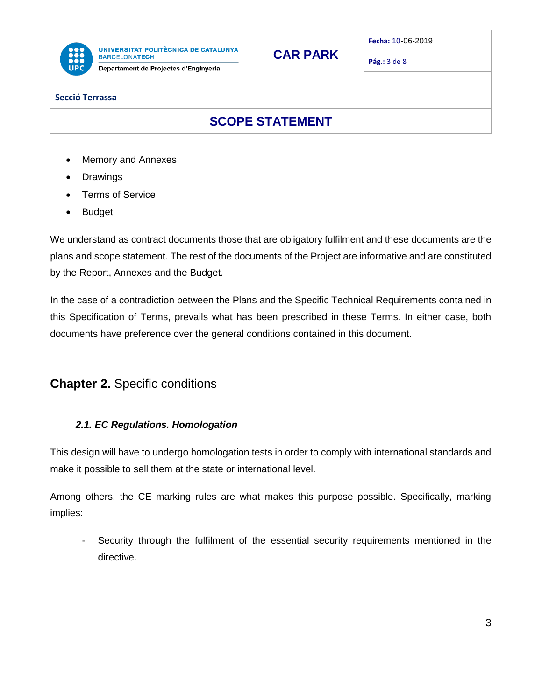

Departament de Projectes d'Enginyeria

**Fecha:** 10-06-2019

**Pág.:** 3 de 8

#### **Secció Terrassa**

### **SCOPE STATEMENT**

**CAR PARK**

- Memory and Annexes
- Drawings
- Terms of Service
- Budget

We understand as contract documents those that are obligatory fulfilment and these documents are the plans and scope statement. The rest of the documents of the Project are informative and are constituted by the Report, Annexes and the Budget.

In the case of a contradiction between the Plans and the Specific Technical Requirements contained in this Specification of Terms, prevails what has been prescribed in these Terms. In either case, both documents have preference over the general conditions contained in this document.

### <span id="page-3-0"></span>**Chapter 2.** Specific conditions

### <span id="page-3-1"></span>*2.1. EC Regulations. Homologation*

This design will have to undergo homologation tests in order to comply with international standards and make it possible to sell them at the state or international level.

Among others, the CE marking rules are what makes this purpose possible. Specifically, marking implies:

Security through the fulfilment of the essential security requirements mentioned in the directive.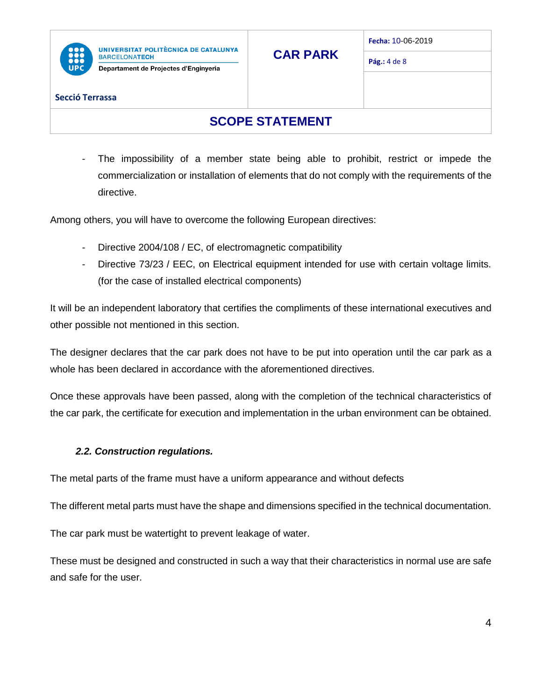

Departament de Projectes d'Enginyeria

**CAR PARK**

**Fecha:** 10-06-2019

**Pág.:** 4 de 8

#### **Secció Terrassa**

### **SCOPE STATEMENT**

- The impossibility of a member state being able to prohibit, restrict or impede the commercialization or installation of elements that do not comply with the requirements of the directive.

Among others, you will have to overcome the following European directives:

- Directive 2004/108 / EC, of electromagnetic compatibility
- Directive 73/23 / EEC, on Electrical equipment intended for use with certain voltage limits. (for the case of installed electrical components)

It will be an independent laboratory that certifies the compliments of these international executives and other possible not mentioned in this section.

The designer declares that the car park does not have to be put into operation until the car park as a whole has been declared in accordance with the aforementioned directives.

Once these approvals have been passed, along with the completion of the technical characteristics of the car park, the certificate for execution and implementation in the urban environment can be obtained.

### <span id="page-4-0"></span>*2.2. Construction regulations.*

The metal parts of the frame must have a uniform appearance and without defects

The different metal parts must have the shape and dimensions specified in the technical documentation.

The car park must be watertight to prevent leakage of water.

These must be designed and constructed in such a way that their characteristics in normal use are safe and safe for the user.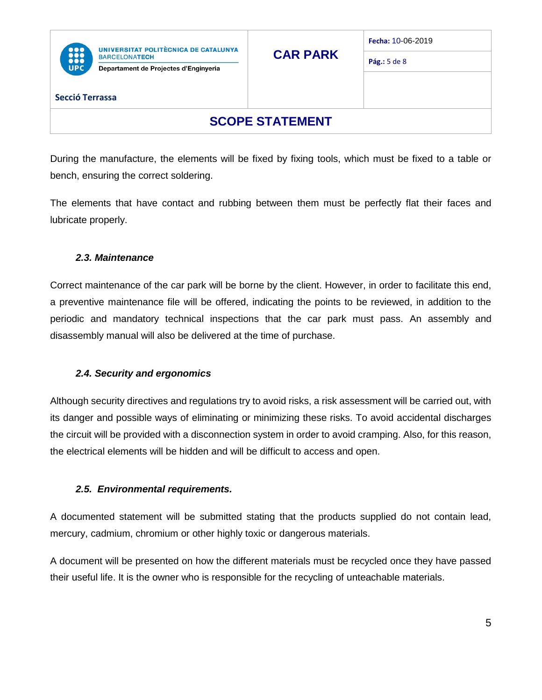

Departament de Projectes d'Enginyeria

**CAR PARK**

**Fecha:** 10-06-2019

**Pág.:** 5 de 8

#### **Secció Terrassa**

### **SCOPE STATEMENT**

During the manufacture, the elements will be fixed by fixing tools, which must be fixed to a table or bench, ensuring the correct soldering.

The elements that have contact and rubbing between them must be perfectly flat their faces and lubricate properly.

#### <span id="page-5-0"></span>*2.3. Maintenance*

Correct maintenance of the car park will be borne by the client. However, in order to facilitate this end, a preventive maintenance file will be offered, indicating the points to be reviewed, in addition to the periodic and mandatory technical inspections that the car park must pass. An assembly and disassembly manual will also be delivered at the time of purchase.

#### <span id="page-5-1"></span>*2.4. Security and ergonomics*

Although security directives and regulations try to avoid risks, a risk assessment will be carried out, with its danger and possible ways of eliminating or minimizing these risks. To avoid accidental discharges the circuit will be provided with a disconnection system in order to avoid cramping. Also, for this reason, the electrical elements will be hidden and will be difficult to access and open.

#### <span id="page-5-2"></span>*2.5. Environmental requirements.*

A documented statement will be submitted stating that the products supplied do not contain lead, mercury, cadmium, chromium or other highly toxic or dangerous materials.

A document will be presented on how the different materials must be recycled once they have passed their useful life. It is the owner who is responsible for the recycling of unteachable materials.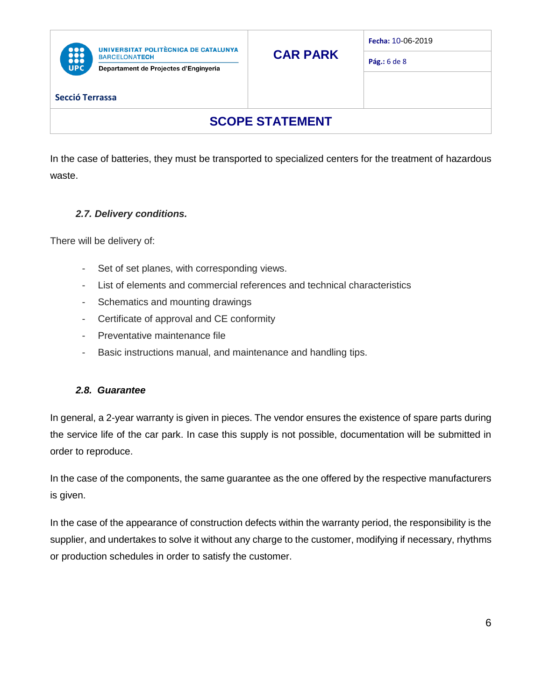| P<br>11 |  |
|---------|--|

Departament de Projectes d'Enginyeria

**Pág.:** 6 de 8

#### **Secció Terrassa**

### **SCOPE STATEMENT**

**CAR PARK**

In the case of batteries, they must be transported to specialized centers for the treatment of hazardous waste.

### <span id="page-6-0"></span>*2.7. Delivery conditions.*

There will be delivery of:

- Set of set planes, with corresponding views.
- List of elements and commercial references and technical characteristics
- Schematics and mounting drawings
- Certificate of approval and CE conformity
- Preventative maintenance file
- Basic instructions manual, and maintenance and handling tips.

#### <span id="page-6-1"></span>*2.8. Guarantee*

In general, a 2-year warranty is given in pieces. The vendor ensures the existence of spare parts during the service life of the car park. In case this supply is not possible, documentation will be submitted in order to reproduce.

In the case of the components, the same guarantee as the one offered by the respective manufacturers is given.

In the case of the appearance of construction defects within the warranty period, the responsibility is the supplier, and undertakes to solve it without any charge to the customer, modifying if necessary, rhythms or production schedules in order to satisfy the customer.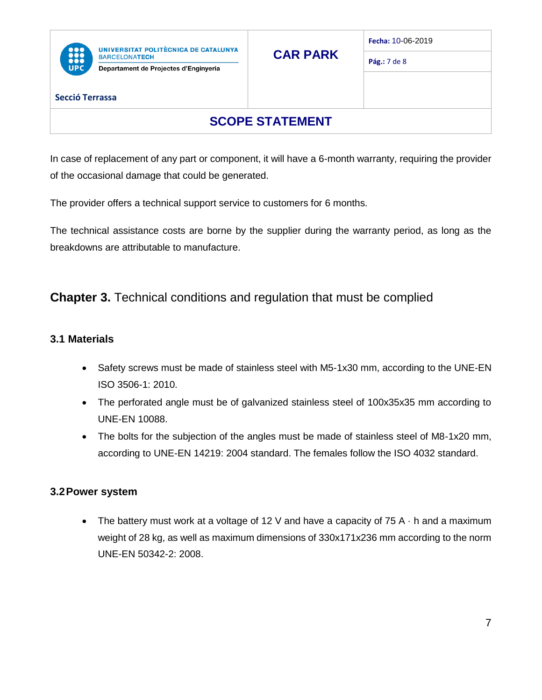

Departament de Projectes d'Enginyeria

**Fecha:** 10-06-2019

**Pág.:** 7 de 8

#### **Secció Terrassa**

### **SCOPE STATEMENT**

In case of replacement of any part or component, it will have a 6-month warranty, requiring the provider of the occasional damage that could be generated.

The provider offers a technical support service to customers for 6 months.

The technical assistance costs are borne by the supplier during the warranty period, as long as the breakdowns are attributable to manufacture.

### <span id="page-7-0"></span>**Chapter 3.** Technical conditions and regulation that must be complied

### <span id="page-7-1"></span>**3.1 Materials**

- Safety screws must be made of stainless steel with M5-1x30 mm, according to the UNE-EN ISO 3506-1: 2010.
- The perforated angle must be of galvanized stainless steel of 100x35x35 mm according to UNE-EN 10088.
- The bolts for the subjection of the angles must be made of stainless steel of M8-1x20 mm, according to UNE-EN 14219: 2004 standard. The females follow the ISO 4032 standard.

### <span id="page-7-2"></span>**3.2Power system**

• The battery must work at a voltage of 12 V and have a capacity of  $75 A \cdot h$  and a maximum weight of 28 kg, as well as maximum dimensions of 330x171x236 mm according to the norm UNE-EN 50342-2: 2008.